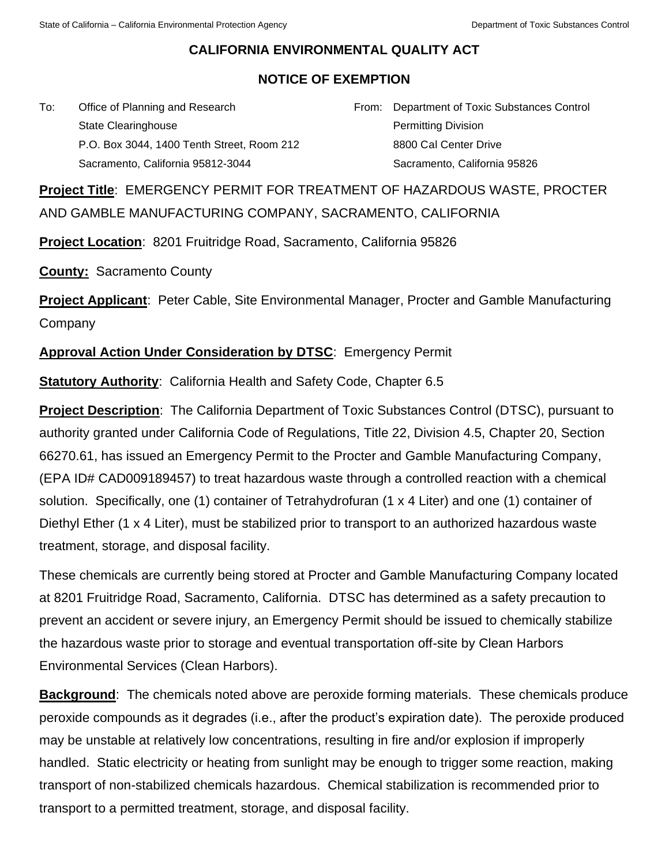## **CALIFORNIA ENVIRONMENTAL QUALITY ACT**

## **NOTICE OF EXEMPTION**

To: Office of Planning and Research State Clearinghouse P.O. Box 3044, 1400 Tenth Street, Room 212 Sacramento, California 95812-3044

From: Department of Toxic Substances Control Permitting Division 8800 Cal Center Drive Sacramento, California 95826

**Project Title**: EMERGENCY PERMIT FOR TREATMENT OF HAZARDOUS WASTE, PROCTER AND GAMBLE MANUFACTURING COMPANY, SACRAMENTO, CALIFORNIA

**Project Location**: 8201 Fruitridge Road, Sacramento, California 95826

**County:** Sacramento County

**Project Applicant**: Peter Cable, Site Environmental Manager, Procter and Gamble Manufacturing **Company** 

**Approval Action Under Consideration by DTSC**: Emergency Permit

**Statutory Authority**: California Health and Safety Code, Chapter 6.5

**Project Description**: The California Department of Toxic Substances Control (DTSC), pursuant to authority granted under California Code of Regulations, Title 22, Division 4.5, Chapter 20, Section 66270.61, has issued an Emergency Permit to the Procter and Gamble Manufacturing Company, (EPA ID# CAD009189457) to treat hazardous waste through a controlled reaction with a chemical solution. Specifically, one (1) container of Tetrahydrofuran (1 x 4 Liter) and one (1) container of Diethyl Ether (1 x 4 Liter), must be stabilized prior to transport to an authorized hazardous waste treatment, storage, and disposal facility.

These chemicals are currently being stored at Procter and Gamble Manufacturing Company located at 8201 Fruitridge Road, Sacramento, California. DTSC has determined as a safety precaution to prevent an accident or severe injury, an Emergency Permit should be issued to chemically stabilize the hazardous waste prior to storage and eventual transportation off-site by Clean Harbors Environmental Services (Clean Harbors).

**Background:** The chemicals noted above are peroxide forming materials. These chemicals produce peroxide compounds as it degrades (i.e., after the product's expiration date). The peroxide produced may be unstable at relatively low concentrations, resulting in fire and/or explosion if improperly handled. Static electricity or heating from sunlight may be enough to trigger some reaction, making transport of non-stabilized chemicals hazardous. Chemical stabilization is recommended prior to transport to a permitted treatment, storage, and disposal facility.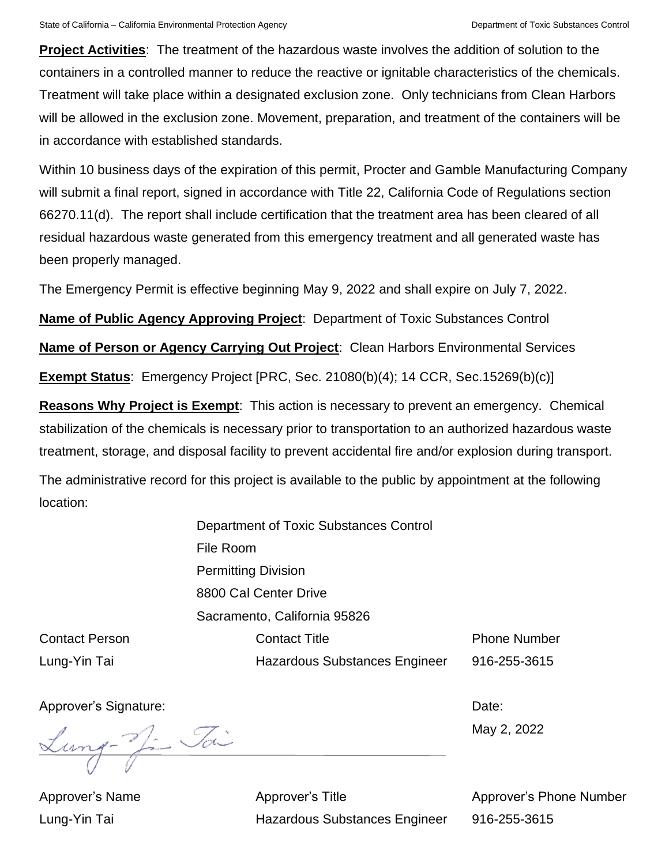**Project Activities**: The treatment of the hazardous waste involves the addition of solution to the containers in a controlled manner to reduce the reactive or ignitable characteristics of the chemicals. Treatment will take place within a designated exclusion zone. Only technicians from Clean Harbors will be allowed in the exclusion zone. Movement, preparation, and treatment of the containers will be in accordance with established standards.

Within 10 business days of the expiration of this permit, Procter and Gamble Manufacturing Company will submit a final report, signed in accordance with Title 22, California Code of Regulations section 66270.11(d). The report shall include certification that the treatment area has been cleared of all residual hazardous waste generated from this emergency treatment and all generated waste has been properly managed.

The Emergency Permit is effective beginning May 9, 2022 and shall expire on July 7, 2022.

**Name of Public Agency Approving Project**: Department of Toxic Substances Control

**Name of Person or Agency Carrying Out Project**: Clean Harbors Environmental Services

**Exempt Status**: Emergency Project [PRC, Sec. 21080(b)(4); 14 CCR, Sec.15269(b)(c)]

**Reasons Why Project is Exempt**: This action is necessary to prevent an emergency. Chemical stabilization of the chemicals is necessary prior to transportation to an authorized hazardous waste treatment, storage, and disposal facility to prevent accidental fire and/or explosion during transport.

The administrative record for this project is available to the public by appointment at the following location:

> Department of Toxic Substances Control File Room Permitting Division 8800 Cal Center Drive Sacramento, California 95826 Contact Title

Contact Person Lung-Yin Tai

Hazardous Substances Engineer

Phone Number 916-255-3615

Approver's Signature: **Date: Date: Date: Date: Date: Date: Date: Date: Date: Date: Date: Date: Date: Date: Date: Date: Date: Date: Date: Date: Date: Date: Date: Date: Date:**

Lung- Ji Jai

May 2, 2022

Approver's Name Lung-Yin Tai

Approver's Title Hazardous Substances Engineer Approver's Phone Number 916-255-3615